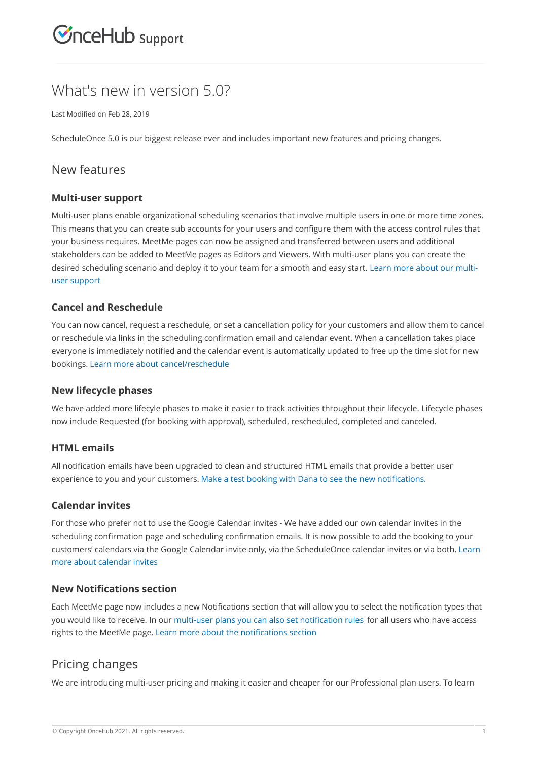

# What's new in version 5.0?

Last Modified on Feb 28, 2019

ScheduleOnce 5.0 is our biggest release ever and includes important new features and pricing changes.

## New features

#### **Multi-user support**

Multi-user plans enable organizational scheduling scenarios that involve multiple users in one or more time zones. This means that you can create sub accounts for your users and configure them with the access control rules that your business requires. MeetMe pages can now be assigned and transferred between users and additional stakeholders can be added to MeetMe pages as Editors and Viewers. With multi-user plans you can create the desired scheduling scenario and deploy it to your team for a smooth and easy start. Learn more about our multiuser support

#### **Cancel and Reschedule**

You can now cancel, request a reschedule, or set a cancellation policy for your customers and allow them to cancel or reschedule via links in the scheduling confirmation email and calendar event. When a cancellation takes place everyone is immediately notified and the calendar event is automatically updated to free up the time slot for new bookings. Learn more about cancel/reschedule

#### **New lifecycle phases**

We have added more lifecyle phases to make it easier to track activities throughout their lifecycle. Lifecycle phases now include Requested (for booking with approval), scheduled, rescheduled, completed and canceled.

#### **HTML emails**

All notification emails have been upgraded to clean and structured HTML emails that provide a better user experience to you and your customers. Make a test booking with Dana to see the new notifications.

#### **Calendar invites**

For those who prefer not to use the Google Calendar invites - We have added our own calendar invites in the scheduling confirmation page and scheduling confirmation emails. It is now possible to add the booking to your customers' calendars via the Google Calendar invite only, via the ScheduleOnce calendar invites or via both. Learn more about calendar invites

#### **New Notifications section**

Each MeetMe page now includes a new Notifications section that will allow you to select the notification types that you would like to receive. In our multi-user plans you can also set notification rules for all users who have access rights to the MeetMe page. Learn more about the notifications section

### Pricing changes

We are introducing multi-user pricing and making it easier and cheaper for our Professional plan users. To learn